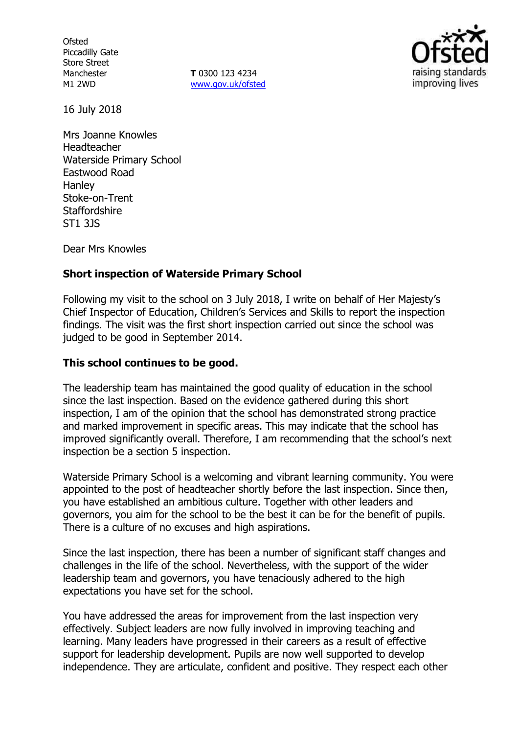**Ofsted** Piccadilly Gate Store Street Manchester M1 2WD

**T** 0300 123 4234 www.gov.uk/ofsted



16 July 2018

Mrs Joanne Knowles Headteacher Waterside Primary School Eastwood Road **Hanley** Stoke-on-Trent **Staffordshire** ST1 3JS

Dear Mrs Knowles

### **Short inspection of Waterside Primary School**

Following my visit to the school on 3 July 2018, I write on behalf of Her Majesty's Chief Inspector of Education, Children's Services and Skills to report the inspection findings. The visit was the first short inspection carried out since the school was judged to be good in September 2014.

#### **This school continues to be good.**

The leadership team has maintained the good quality of education in the school since the last inspection. Based on the evidence gathered during this short inspection, I am of the opinion that the school has demonstrated strong practice and marked improvement in specific areas. This may indicate that the school has improved significantly overall. Therefore, I am recommending that the school's next inspection be a section 5 inspection.

Waterside Primary School is a welcoming and vibrant learning community. You were appointed to the post of headteacher shortly before the last inspection. Since then, you have established an ambitious culture. Together with other leaders and governors, you aim for the school to be the best it can be for the benefit of pupils. There is a culture of no excuses and high aspirations.

Since the last inspection, there has been a number of significant staff changes and challenges in the life of the school. Nevertheless, with the support of the wider leadership team and governors, you have tenaciously adhered to the high expectations you have set for the school.

You have addressed the areas for improvement from the last inspection very effectively. Subject leaders are now fully involved in improving teaching and learning. Many leaders have progressed in their careers as a result of effective support for leadership development. Pupils are now well supported to develop independence. They are articulate, confident and positive. They respect each other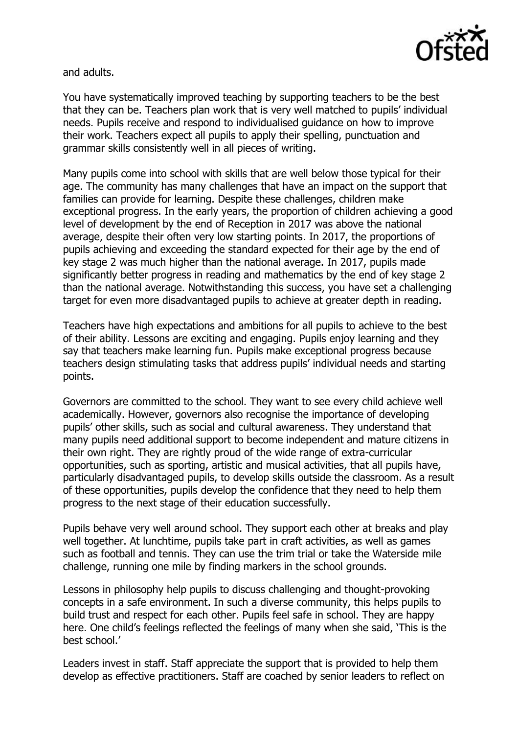

and adults.

You have systematically improved teaching by supporting teachers to be the best that they can be. Teachers plan work that is very well matched to pupils' individual needs. Pupils receive and respond to individualised guidance on how to improve their work. Teachers expect all pupils to apply their spelling, punctuation and grammar skills consistently well in all pieces of writing.

Many pupils come into school with skills that are well below those typical for their age. The community has many challenges that have an impact on the support that families can provide for learning. Despite these challenges, children make exceptional progress. In the early years, the proportion of children achieving a good level of development by the end of Reception in 2017 was above the national average, despite their often very low starting points. In 2017, the proportions of pupils achieving and exceeding the standard expected for their age by the end of key stage 2 was much higher than the national average. In 2017, pupils made significantly better progress in reading and mathematics by the end of key stage 2 than the national average. Notwithstanding this success, you have set a challenging target for even more disadvantaged pupils to achieve at greater depth in reading.

Teachers have high expectations and ambitions for all pupils to achieve to the best of their ability. Lessons are exciting and engaging. Pupils enjoy learning and they say that teachers make learning fun. Pupils make exceptional progress because teachers design stimulating tasks that address pupils' individual needs and starting points.

Governors are committed to the school. They want to see every child achieve well academically. However, governors also recognise the importance of developing pupils' other skills, such as social and cultural awareness. They understand that many pupils need additional support to become independent and mature citizens in their own right. They are rightly proud of the wide range of extra-curricular opportunities, such as sporting, artistic and musical activities, that all pupils have, particularly disadvantaged pupils, to develop skills outside the classroom. As a result of these opportunities, pupils develop the confidence that they need to help them progress to the next stage of their education successfully.

Pupils behave very well around school. They support each other at breaks and play well together. At lunchtime, pupils take part in craft activities, as well as games such as football and tennis. They can use the trim trial or take the Waterside mile challenge, running one mile by finding markers in the school grounds.

Lessons in philosophy help pupils to discuss challenging and thought-provoking concepts in a safe environment. In such a diverse community, this helps pupils to build trust and respect for each other. Pupils feel safe in school. They are happy here. One child's feelings reflected the feelings of many when she said, 'This is the best school.'

Leaders invest in staff. Staff appreciate the support that is provided to help them develop as effective practitioners. Staff are coached by senior leaders to reflect on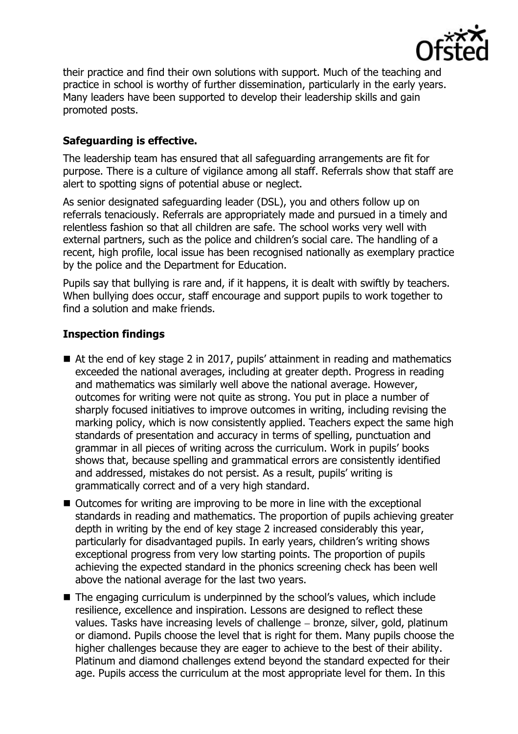

their practice and find their own solutions with support. Much of the teaching and practice in school is worthy of further dissemination, particularly in the early years. Many leaders have been supported to develop their leadership skills and gain promoted posts.

# **Safeguarding is effective.**

The leadership team has ensured that all safeguarding arrangements are fit for purpose. There is a culture of vigilance among all staff. Referrals show that staff are alert to spotting signs of potential abuse or neglect.

As senior designated safeguarding leader (DSL), you and others follow up on referrals tenaciously. Referrals are appropriately made and pursued in a timely and relentless fashion so that all children are safe. The school works very well with external partners, such as the police and children's social care. The handling of a recent, high profile, local issue has been recognised nationally as exemplary practice by the police and the Department for Education.

Pupils say that bullying is rare and, if it happens, it is dealt with swiftly by teachers. When bullying does occur, staff encourage and support pupils to work together to find a solution and make friends.

## **Inspection findings**

- At the end of key stage 2 in 2017, pupils' attainment in reading and mathematics exceeded the national averages, including at greater depth. Progress in reading and mathematics was similarly well above the national average. However, outcomes for writing were not quite as strong. You put in place a number of sharply focused initiatives to improve outcomes in writing, including revising the marking policy, which is now consistently applied. Teachers expect the same high standards of presentation and accuracy in terms of spelling, punctuation and grammar in all pieces of writing across the curriculum. Work in pupils' books shows that, because spelling and grammatical errors are consistently identified and addressed, mistakes do not persist. As a result, pupils' writing is grammatically correct and of a very high standard.
- Outcomes for writing are improving to be more in line with the exceptional standards in reading and mathematics. The proportion of pupils achieving greater depth in writing by the end of key stage 2 increased considerably this year, particularly for disadvantaged pupils. In early years, children's writing shows exceptional progress from very low starting points. The proportion of pupils achieving the expected standard in the phonics screening check has been well above the national average for the last two years.
- The engaging curriculum is underpinned by the school's values, which include resilience, excellence and inspiration. Lessons are designed to reflect these values. Tasks have increasing levels of challenge – bronze, silver, gold, platinum or diamond. Pupils choose the level that is right for them. Many pupils choose the higher challenges because they are eager to achieve to the best of their ability. Platinum and diamond challenges extend beyond the standard expected for their age. Pupils access the curriculum at the most appropriate level for them. In this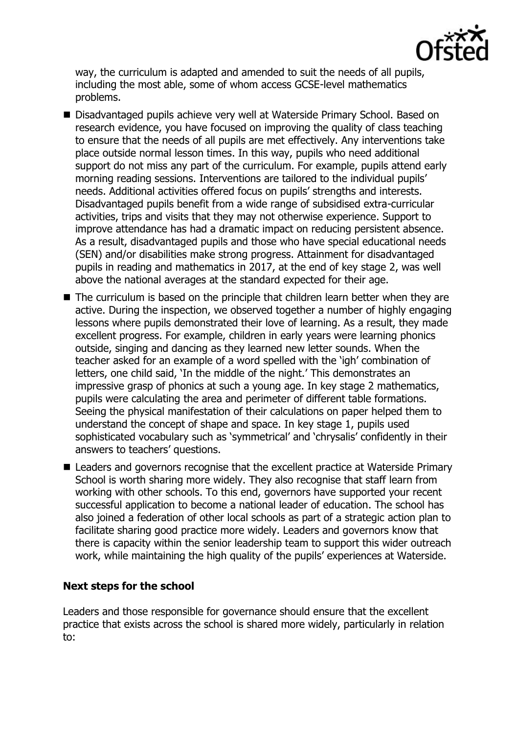

way, the curriculum is adapted and amended to suit the needs of all pupils, including the most able, some of whom access GCSE-level mathematics problems.

- Disadvantaged pupils achieve very well at Waterside Primary School. Based on research evidence, you have focused on improving the quality of class teaching to ensure that the needs of all pupils are met effectively. Any interventions take place outside normal lesson times. In this way, pupils who need additional support do not miss any part of the curriculum. For example, pupils attend early morning reading sessions. Interventions are tailored to the individual pupils' needs. Additional activities offered focus on pupils' strengths and interests. Disadvantaged pupils benefit from a wide range of subsidised extra-curricular activities, trips and visits that they may not otherwise experience. Support to improve attendance has had a dramatic impact on reducing persistent absence. As a result, disadvantaged pupils and those who have special educational needs (SEN) and/or disabilities make strong progress. Attainment for disadvantaged pupils in reading and mathematics in 2017, at the end of key stage 2, was well above the national averages at the standard expected for their age.
- The curriculum is based on the principle that children learn better when they are active. During the inspection, we observed together a number of highly engaging lessons where pupils demonstrated their love of learning. As a result, they made excellent progress. For example, children in early years were learning phonics outside, singing and dancing as they learned new letter sounds. When the teacher asked for an example of a word spelled with the 'igh' combination of letters, one child said, 'In the middle of the night.' This demonstrates an impressive grasp of phonics at such a young age. In key stage 2 mathematics, pupils were calculating the area and perimeter of different table formations. Seeing the physical manifestation of their calculations on paper helped them to understand the concept of shape and space. In key stage 1, pupils used sophisticated vocabulary such as 'symmetrical' and 'chrysalis' confidently in their answers to teachers' questions.
- Leaders and governors recognise that the excellent practice at Waterside Primary School is worth sharing more widely. They also recognise that staff learn from working with other schools. To this end, governors have supported your recent successful application to become a national leader of education. The school has also joined a federation of other local schools as part of a strategic action plan to facilitate sharing good practice more widely. Leaders and governors know that there is capacity within the senior leadership team to support this wider outreach work, while maintaining the high quality of the pupils' experiences at Waterside.

#### **Next steps for the school**

Leaders and those responsible for governance should ensure that the excellent practice that exists across the school is shared more widely, particularly in relation to: